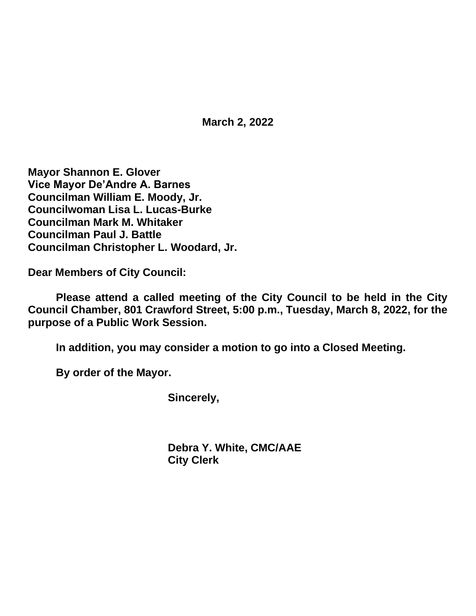**March 2, 2022**

**Mayor Shannon E. Glover Vice Mayor De'Andre A. Barnes Councilman William E. Moody, Jr. Councilwoman Lisa L. Lucas-Burke Councilman Mark M. Whitaker Councilman Paul J. Battle Councilman Christopher L. Woodard, Jr.**

**Dear Members of City Council:**

**Please attend a called meeting of the City Council to be held in the City Council Chamber, 801 Crawford Street, 5:00 p.m., Tuesday, March 8, 2022, for the purpose of a Public Work Session.**

**In addition, you may consider a motion to go into a Closed Meeting.**

**By order of the Mayor.**

**Sincerely,**

**Debra Y. White, CMC/AAE City Clerk**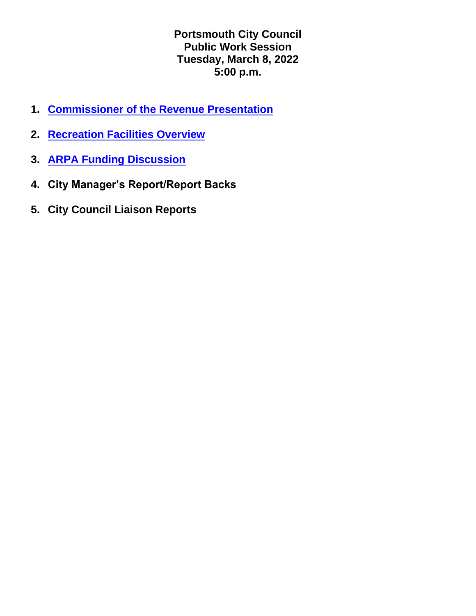**Portsmouth City Council Public Work Session Tuesday, March 8, 2022 5:00 p.m.**

- **1. [Commissioner of the Revenue Presentation](https://www.portsmouthva.gov/DocumentCenter/View/12058/FINAL-Personal-Property-Tax-Ratio-2022_1)**
- **2. [Recreation Facilities Overview](https://www.portsmouthva.gov/DocumentCenter/View/12059/recreation-update-3-8-2022-work-session)**
- **3. [ARPA Funding Discussion](https://www.portsmouthva.gov/DocumentCenter/View/12060/ARPA-Presentation)**
- **4. City Manager's Report/Report Backs**
- **5. City Council Liaison Reports**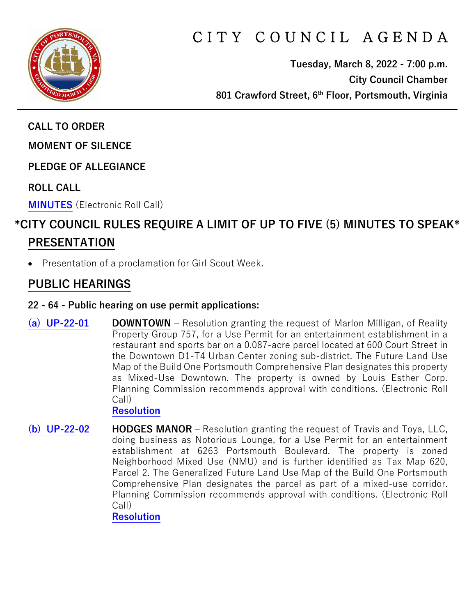

# CITY COUNCIL AGENDA

**Tuesday, March 8, 2022 - 7:00 p.m. City Council Chamber 801 Crawford Street, 6th Floor, Portsmouth, Virginia**

**CALL TO ORDER**

**MOMENT OF SILENCE**

**PLEDGE OF ALLEGIANCE** 

**ROLL CALL**

**[MINUTES](https://www.portsmouthva.gov/DocumentCenter/View/12005/City-Council-Minutes)** (Electronic Roll Call)

# **\*CITY COUNCIL RULES REQUIRE A LIMIT OF UP TO FIVE (5) MINUTES TO SPEAK\* PRESENTATION**

• Presentation of a proclamation for Girl Scout Week.

## **PUBLIC HEARINGS**

#### **22 - 64 - Public hearing on use permit applications:**

**[\(a\) UP-22-01](https://www.portsmouthva.gov/DocumentCenter/View/12006/22-64a-Public-Hearing) DOWNTOWN** – Resolution granting the request of Marlon Milligan, of Reality Property Group 757, for a Use Permit for an entertainment establishment in a restaurant and sports bar on a 0.087-acre parcel located at 600 Court Street in the Downtown D1-T4 Urban Center zoning sub-district. The Future Land Use Map of the Build One Portsmouth Comprehensive Plan designates this property as Mixed-Use Downtown. The property is owned by Louis Esther Corp. Planning Commission recommends approval with conditions. (Electronic Roll Call)

**[Resolution](https://www.portsmouthva.gov/DocumentCenter/View/12007/22-64a-Resolution)**

**[\(b\) UP-22-02](https://www.portsmouthva.gov/DocumentCenter/View/12008/22-64b-Public-Hearing) HODGES MANOR –** Resolution granting the request of Travis and Toya, LLC, doing business as Notorious Lounge, for a Use Permit for an entertainment establishment at 6263 Portsmouth Boulevard. The property is zoned Neighborhood Mixed Use (NMU) and is further identified as Tax Map 620, Parcel 2. The Generalized Future Land Use Map of the Build One Portsmouth Comprehensive Plan designates the parcel as part of a mixed-use corridor. Planning Commission recommends approval with conditions. (Electronic Roll Call) **[Resolution](https://www.portsmouthva.gov/DocumentCenter/View/12009/22-64b-Resolution)**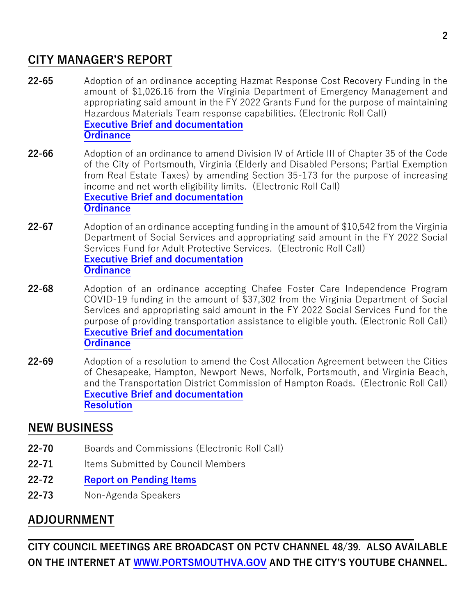### **CITY MANAGER'S REPORT**

- **22-65** Adoption of an ordinance accepting Hazmat Response Cost Recovery Funding in the amount of \$1,026.16 from the Virginia Department of Emergency Management and appropriating said amount in the FY 2022 Grants Fund for the purpose of maintaining Hazardous Materials Team response capabilities. (Electronic Roll Call) **[Executive Brief and documentation](https://www.portsmouthva.gov/DocumentCenter/View/12010/22-65-CMR-and-documentation) [Ordinance](https://www.portsmouthva.gov/DocumentCenter/View/12011/22-65-Ordinance)**
- **22-66** Adoption of an ordinance to amend Division IV of Article III of Chapter 35 of the Code of the City of Portsmouth, Virginia (Elderly and Disabled Persons; Partial Exemption from Real Estate Taxes) by amending Section 35-173 for the purpose of increasing income and net worth eligibility limits. (Electronic Roll Call) **[Executive Brief and documentation](https://www.portsmouthva.gov/DocumentCenter/View/12012/22-66-CMR-and-documentation) [Ordinance](https://www.portsmouthva.gov/DocumentCenter/View/12013/22-66-Ordinance)**
- **22-67** Adoption of an ordinance accepting funding in the amount of \$10,542 from the Virginia Department of Social Services and appropriating said amount in the FY 2022 Social Services Fund for Adult Protective Services. (Electronic Roll Call) **[Executive Brief and documentation](https://www.portsmouthva.gov/DocumentCenter/View/12014/22-67-CMR-and-documentation) [Ordinance](https://www.portsmouthva.gov/DocumentCenter/View/12015/22-67-Ordinance)**
- **22-68** Adoption of an ordinance accepting Chafee Foster Care Independence Program COVID-19 funding in the amount of \$37,302 from the Virginia Department of Social Services and appropriating said amount in the FY 2022 Social Services Fund for the purpose of providing transportation assistance to eligible youth. (Electronic Roll Call) **[Executive Brief and documentation](https://www.portsmouthva.gov/DocumentCenter/View/12016/22-68-CMR-and-documentation) [Ordinance](https://www.portsmouthva.gov/DocumentCenter/View/12017/22-68-Ordinance)**
- **22-69** Adoption of a resolution to amend the Cost Allocation Agreement between the Cities of Chesapeake, Hampton, Newport News, Norfolk, Portsmouth, and Virginia Beach, and the Transportation District Commission of Hampton Roads. (Electronic Roll Call) **[Executive Brief and documentation](https://www.portsmouthva.gov/DocumentCenter/View/12018/22-69-CMR-and-documentation) [Resolution](https://www.portsmouthva.gov/DocumentCenter/View/12019/22-69-Resolution)**

### **NEW BUSINESS**

- **22-70** Boards and Commissions (Electronic Roll Call)
- **22-71** Items Submitted by Council Members
- **22-72 [Report on Pending Items](https://www.portsmouthva.gov/DocumentCenter/View/12061/Non-Agenda-Speakers-Report-Final)**
- **22-73** Non-Agenda Speakers

# **ADJOURNMENT**

**CITY COUNCIL MEETINGS ARE BROADCAST ON PCTV CHANNEL 48/39. ALSO AVAILABLE ON THE INTERNET AT [WWW.PORTSMOUTHVA.GOV](http://www.portsmouthva.gov/) AND THE CITY'S YOUTUBE CHANNEL.**